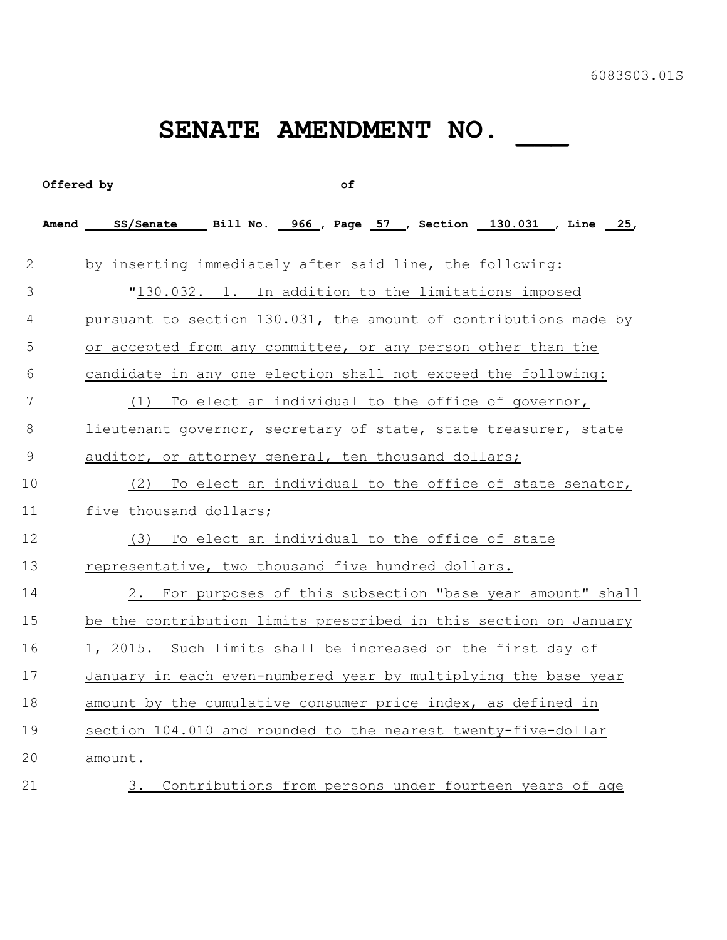## SENATE AMENDMENT NO. \_\_\_

|              | Amend SS/Senate Bill No. 966, Page 57, Section 130.031, Line 25, |
|--------------|------------------------------------------------------------------|
| $\mathbf{2}$ | by inserting immediately after said line, the following:         |
| 3            | "130.032. 1. In addition to the limitations imposed              |
| 4            | pursuant to section 130.031, the amount of contributions made by |
| 5            | or accepted from any committee, or any person other than the     |
| 6            | candidate in any one election shall not exceed the following:    |
| 7            | To elect an individual to the office of governor,<br>(1)         |
| 8            | lieutenant governor, secretary of state, state treasurer, state  |
| 9            | auditor, or attorney general, ten thousand dollars;              |
| 10           | To elect an individual to the office of state senator,<br>(2)    |
| 11           | five thousand dollars;                                           |
| 12           | To elect an individual to the office of state<br>(3)             |
| 13           | representative, two thousand five hundred dollars.               |
| 14           | 2. For purposes of this subsection "base year amount" shall      |
| 15           | be the contribution limits prescribed in this section on January |
| 16           | 1, 2015. Such limits shall be increased on the first day of      |
| 17           | January in each even-numbered year by multiplying the base year  |
| 18           | amount by the cumulative consumer price index, as defined in     |
| 19           | section 104.010 and rounded to the nearest twenty-five-dollar    |
| 20           | amount.                                                          |
| 21           | Contributions from persons under fourteen years of age<br>3.     |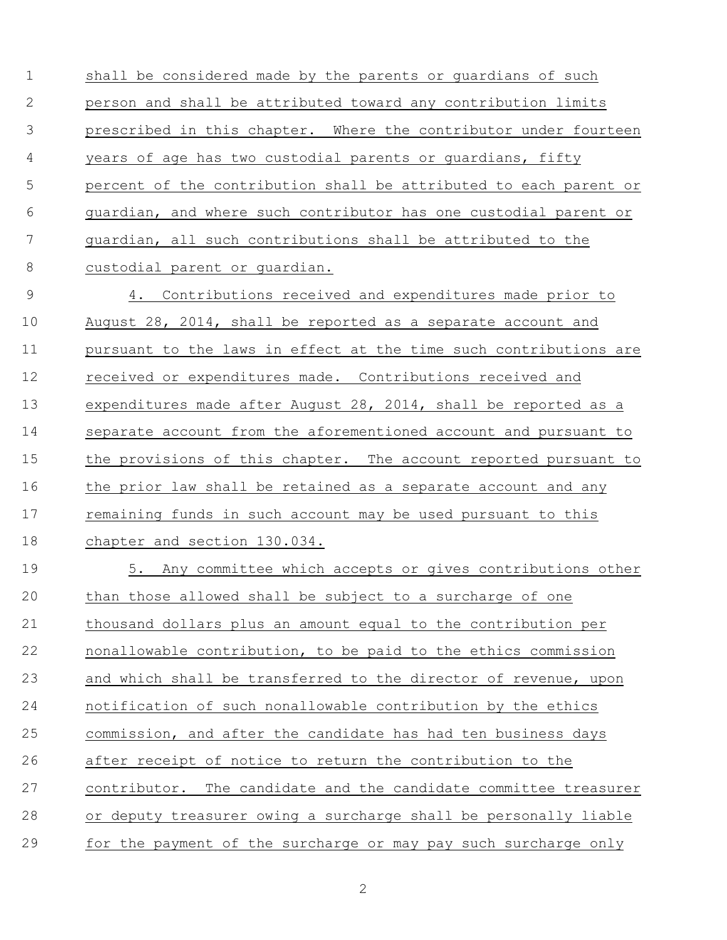shall be considered made by the parents or guardians of such person and shall be attributed toward any contribution limits prescribed in this chapter. Where the contributor under fourteen years of age has two custodial parents or guardians, fifty percent of the contribution shall be attributed to each parent or guardian, and where such contributor has one custodial parent or guardian, all such contributions shall be attributed to the custodial parent or guardian.

 4. Contributions received and expenditures made prior to August 28, 2014, shall be reported as a separate account and pursuant to the laws in effect at the time such contributions are 12 received or expenditures made. Contributions received and 13 expenditures made after August 28, 2014, shall be reported as a separate account from the aforementioned account and pursuant to the provisions of this chapter. The account reported pursuant to the prior law shall be retained as a separate account and any remaining funds in such account may be used pursuant to this chapter and section 130.034.

 5. Any committee which accepts or gives contributions other than those allowed shall be subject to a surcharge of one thousand dollars plus an amount equal to the contribution per nonallowable contribution, to be paid to the ethics commission and which shall be transferred to the director of revenue, upon notification of such nonallowable contribution by the ethics commission, and after the candidate has had ten business days after receipt of notice to return the contribution to the contributor. The candidate and the candidate committee treasurer or deputy treasurer owing a surcharge shall be personally liable for the payment of the surcharge or may pay such surcharge only